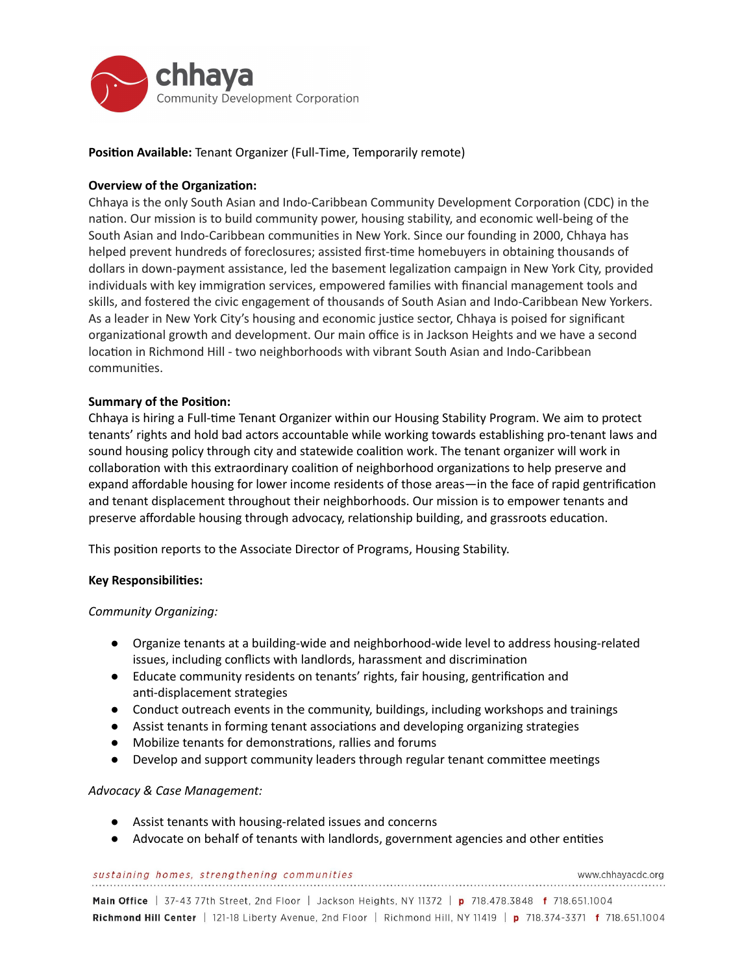

**Position Available:** Tenant Organizer (Full-Time, Temporarily remote)

# **Overview of the Organization:**

Chhaya is the only South Asian and Indo-Caribbean Community Development Corporation (CDC) in the nation. Our mission is to build community power, housing stability, and economic well-being of the South Asian and Indo-Caribbean communities in New York. Since our founding in 2000, Chhaya has helped prevent hundreds of foreclosures; assisted first-time homebuyers in obtaining thousands of dollars in down-payment assistance, led the basement legalization campaign in New York City, provided individuals with key immigration services, empowered families with financial management tools and skills, and fostered the civic engagement of thousands of South Asian and Indo-Caribbean New Yorkers. As a leader in New York City's housing and economic justice sector, Chhaya is poised for significant organizational growth and development. Our main office is in Jackson Heights and we have a second location in Richmond Hill - two neighborhoods with vibrant South Asian and Indo-Caribbean communities.

## **Summary of the Position:**

Chhaya is hiring a Full-time Tenant Organizer within our Housing Stability Program. We aim to protect tenants' rights and hold bad actors accountable while working towards establishing pro-tenant laws and sound housing policy through city and statewide coalition work. The tenant organizer will work in collaboration with this extraordinary coalition of neighborhood organizations to help preserve and expand affordable housing for lower income residents of those areas—in the face of rapid gentrification and tenant displacement throughout their neighborhoods. Our mission is to empower tenants and preserve affordable housing through advocacy, relationship building, and grassroots education.

This position reports to the Associate Director of Programs, Housing Stability.

## **Key Responsibilies:**

## *Community Organizing:*

- Organize tenants at a building-wide and neighborhood-wide level to address housing-related issues, including conflicts with landlords, harassment and discrimination
- Educate community residents on tenants' rights, fair housing, gentrification and anti-displacement strategies
- Conduct outreach events in the community, buildings, including workshops and trainings
- Assist tenants in forming tenant associations and developing organizing strategies
- Mobilize tenants for demonstrations, rallies and forums
- Develop and support community leaders through regular tenant committee meetings

## *Advocacy & Case Management:*

- Assist tenants with housing-related issues and concerns
- Advocate on behalf of tenants with landlords, government agencies and other entities

sustaining homes, strengthening communities

www.chhayacdc.org

Main Office | 37-43 77th Street, 2nd Floor | Jackson Heights, NY 11372 | p 718.478.3848 f 718.651.1004 Richmond Hill Center | 121-18 Liberty Avenue, 2nd Floor | Richmond Hill, NY 11419 | p 718.374-3371 f 718.651.1004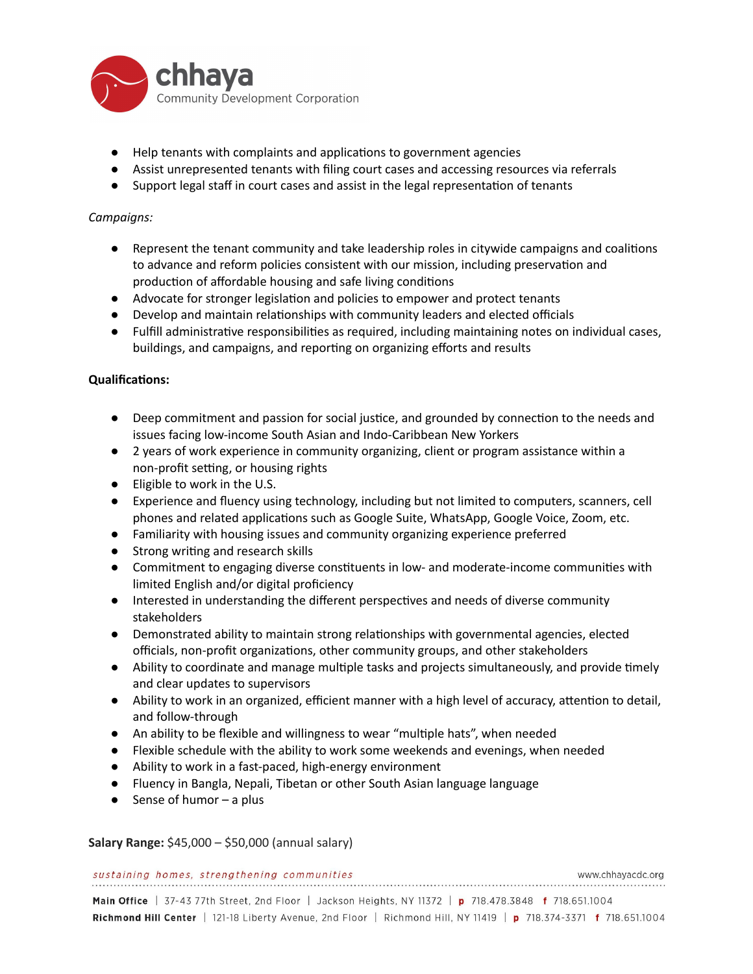

- Help tenants with complaints and applications to government agencies
- Assist unrepresented tenants with filing court cases and accessing resources via referrals
- Support legal staff in court cases and assist in the legal representation of tenants

## *Campaigns:*

- Represent the tenant community and take leadership roles in citywide campaigns and coalitions to advance and reform policies consistent with our mission, including preservation and production of affordable housing and safe living conditions
- Advocate for stronger legislation and policies to empower and protect tenants
- Develop and maintain relationships with community leaders and elected officials
- Fulfill administrative responsibilities as required, including maintaining notes on individual cases, buildings, and campaigns, and reporting on organizing efforts and results

## **Qualifications:**

- Deep commitment and passion for social justice, and grounded by connection to the needs and issues facing low-income South Asian and Indo-Caribbean New Yorkers
- 2 years of work experience in community organizing, client or program assistance within a non-profit setting, or housing rights
- Eligible to work in the U.S.
- Experience and fluency using technology, including but not limited to computers, scanners, cell phones and related applications such as Google Suite, WhatsApp, Google Voice, Zoom, etc.
- Familiarity with housing issues and community organizing experience preferred
- Strong writing and research skills
- Commitment to engaging diverse constituents in low- and moderate-income communities with limited English and/or digital proficiency
- Interested in understanding the different perspectives and needs of diverse community stakeholders
- Demonstrated ability to maintain strong relationships with governmental agencies, elected officials, non-profit organizations, other community groups, and other stakeholders
- Ability to coordinate and manage multiple tasks and projects simultaneously, and provide timely and clear updates to supervisors
- Ability to work in an organized, efficient manner with a high level of accuracy, attention to detail, and follow-through
- An ability to be flexible and willingness to wear "multiple hats", when needed
- Flexible schedule with the ability to work some weekends and evenings, when needed
- Ability to work in a fast-paced, high-energy environment
- Fluency in Bangla, Nepali, Tibetan or other South Asian language language
- $\bullet$  Sense of humor a plus

**Salary Range:** \$45,000 – \$50,000 (annual salary)

### sustaining homes, strengthening communities

Main Office | 37-43 77th Street, 2nd Floor | Jackson Heights, NY 11372 | p 718.478.3848 f 718.651.1004 Richmond Hill Center | 121-18 Liberty Avenue, 2nd Floor | Richmond Hill, NY 11419 | p 718.374-3371 f 718.651.1004

www.chhayacdc.org